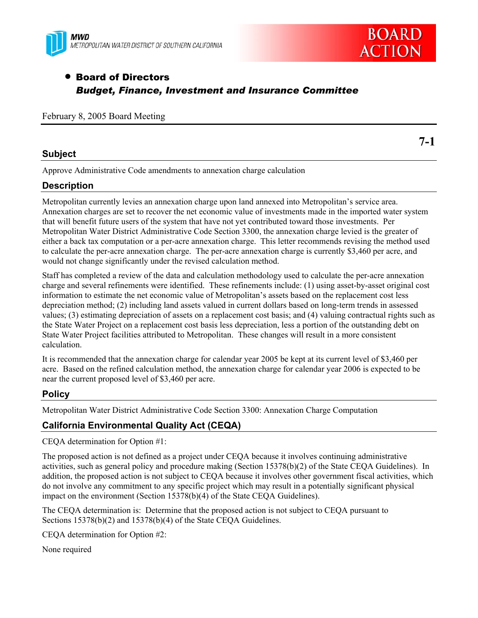



**7-1** 

# • Board of Directors *Budget, Finance, Investment and Insurance Committee*

February 8, 2005 Board Meeting

### **Subject**

Approve Administrative Code amendments to annexation charge calculation

### **Description**

Metropolitan currently levies an annexation charge upon land annexed into Metropolitan's service area. Annexation charges are set to recover the net economic value of investments made in the imported water system that will benefit future users of the system that have not yet contributed toward those investments. Per Metropolitan Water District Administrative Code Section 3300, the annexation charge levied is the greater of either a back tax computation or a per-acre annexation charge. This letter recommends revising the method used to calculate the per-acre annexation charge. The per-acre annexation charge is currently \$3,460 per acre, and would not change significantly under the revised calculation method.

Staff has completed a review of the data and calculation methodology used to calculate the per-acre annexation charge and several refinements were identified. These refinements include: (1) using asset-by-asset original cost information to estimate the net economic value of Metropolitan's assets based on the replacement cost less depreciation method; (2) including land assets valued in current dollars based on long-term trends in assessed values; (3) estimating depreciation of assets on a replacement cost basis; and (4) valuing contractual rights such as the State Water Project on a replacement cost basis less depreciation, less a portion of the outstanding debt on State Water Project facilities attributed to Metropolitan. These changes will result in a more consistent calculation.

It is recommended that the annexation charge for calendar year 2005 be kept at its current level of \$3,460 per acre. Based on the refined calculation method, the annexation charge for calendar year 2006 is expected to be near the current proposed level of \$3,460 per acre.

### **Policy**

Metropolitan Water District Administrative Code Section 3300: Annexation Charge Computation

## **California Environmental Quality Act (CEQA)**

CEQA determination for Option #1:

The proposed action is not defined as a project under CEQA because it involves continuing administrative activities, such as general policy and procedure making (Section 15378(b)(2) of the State CEQA Guidelines). In addition, the proposed action is not subject to CEQA because it involves other government fiscal activities, which do not involve any commitment to any specific project which may result in a potentially significant physical impact on the environment (Section 15378(b)(4) of the State CEQA Guidelines).

The CEQA determination is: Determine that the proposed action is not subject to CEQA pursuant to Sections 15378(b)(2) and 15378(b)(4) of the State CEQA Guidelines.

CEQA determination for Option #2:

None required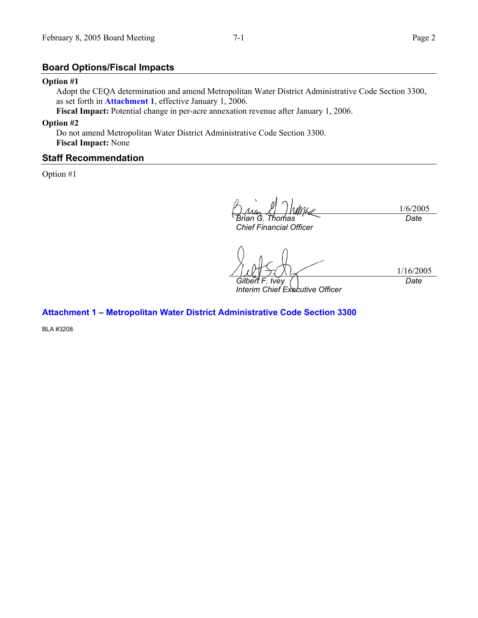#### **Board Options/Fiscal Impacts**

#### **Option #1**

Adopt the CEQA determination and amend Metropolitan Water District Administrative Code Section 3300, as set forth in **Attachment 1**, effective January 1, 2006.

**Fiscal Impact:** Potential change in per-acre annexation revenue after January 1, 2006.

#### **Option #2**

Do not amend Metropolitan Water District Administrative Code Section 3300. **Fiscal Impact:** None

#### **Staff Recommendation**

Option #1

1/6/2005 *Brian G. Thomas Date* 

*Chief Financial Officer* 

1/16/2005 *Gilbert F. Ivey Date* 

*Interim Chief Executive Officer* 

#### **Attachment 1 – Metropolitan Water District Administrative Code Section 3300**

BLA #3208